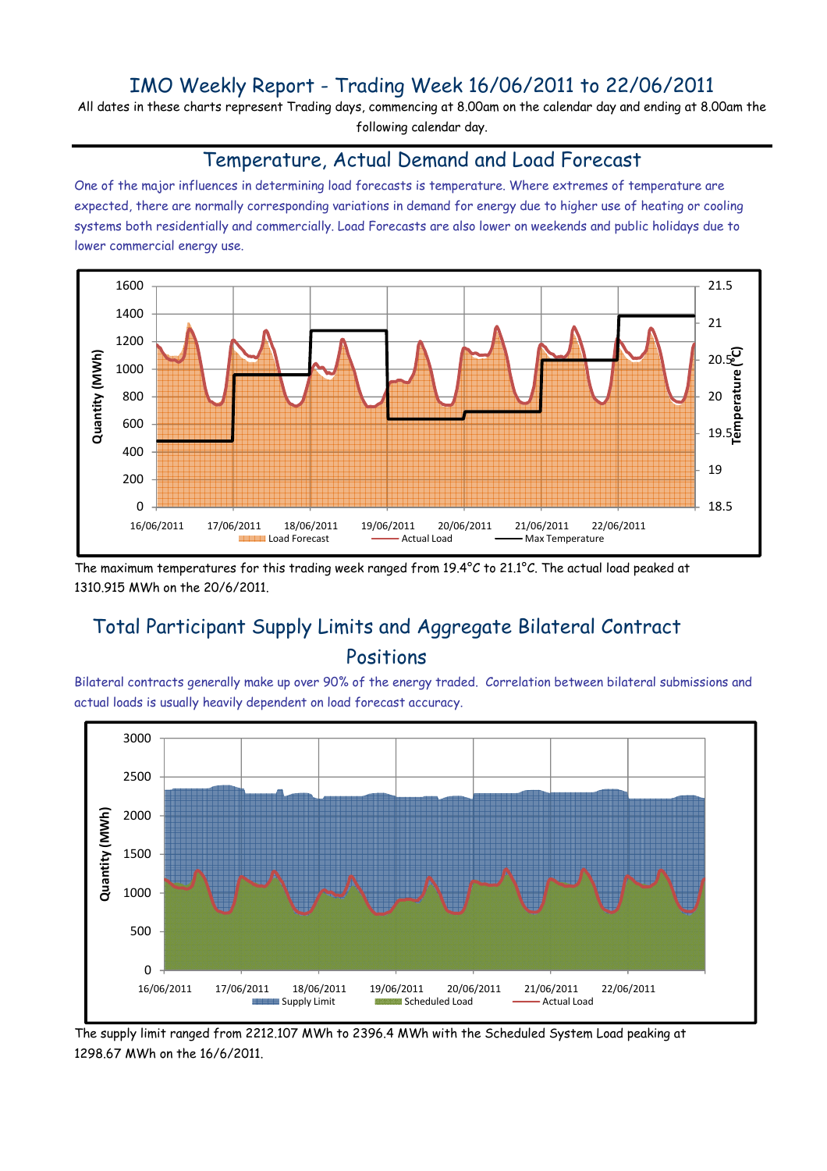## IMO Weekly Report - Trading Week 16/06/2011 to 22/06/2011

All dates in these charts represent Trading days, commencing at 8.00am on the calendar day and ending at 8.00am the following calendar day.

#### Temperature, Actual Demand and Load Forecast

One of the major influences in determining load forecasts is temperature. Where extremes of temperature are expected, there are normally corresponding variations in demand for energy due to higher use of heating or cooling systems both residentially and commercially. Load Forecasts are also lower on weekends and public holidays due to lower commercial energy use.



The maximum temperatures for this trading week ranged from 19.4°C to 21.1°C. The actual load peaked at 1310.915 MWh on the 20/6/2011.

# Total Participant Supply Limits and Aggregate Bilateral Contract Positions

Bilateral contracts generally make up over 90% of the energy traded. Correlation between bilateral submissions and actual loads is usually heavily dependent on load forecast accuracy.



The supply limit ranged from 2212.107 MWh to 2396.4 MWh with the Scheduled System Load peaking at 1298.67 MWh on the 16/6/2011.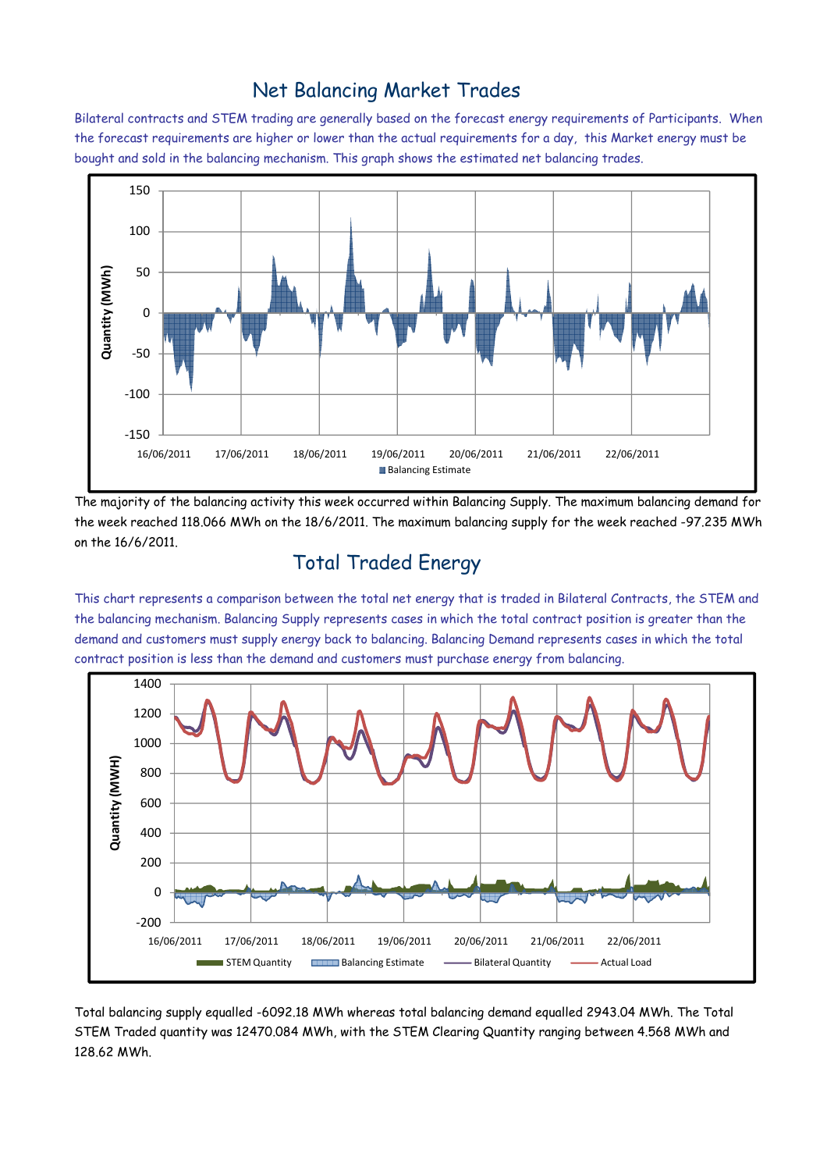### Net Balancing Market Trades

Bilateral contracts and STEM trading are generally based on the forecast energy requirements of Participants. When the forecast requirements are higher or lower than the actual requirements for a day, this Market energy must be bought and sold in the balancing mechanism. This graph shows the estimated net balancing trades.



The majority of the balancing activity this week occurred within Balancing Supply. The maximum balancing demand for the week reached 118.066 MWh on the 18/6/2011. The maximum balancing supply for the week reached -97.235 MWh on the 16/6/2011.

## Total Traded Energy

This chart represents a comparison between the total net energy that is traded in Bilateral Contracts, the STEM and the balancing mechanism. Balancing Supply represents cases in which the total contract position is greater than the demand and customers must supply energy back to balancing. Balancing Demand represents cases in which the total contract position is less than the demand and customers must purchase energy from balancing.



Total balancing supply equalled -6092.18 MWh whereas total balancing demand equalled 2943.04 MWh. The Total STEM Traded quantity was 12470.084 MWh, with the STEM Clearing Quantity ranging between 4.568 MWh and 128.62 MWh.